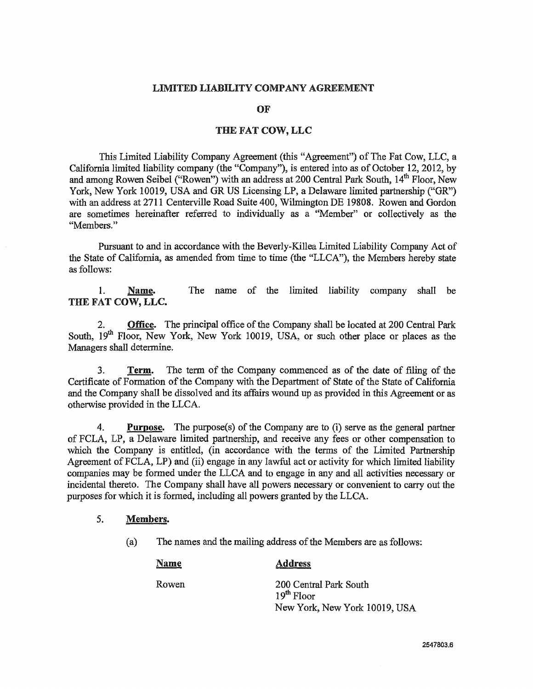### **LIMITED LIABILITY COMPANY AGREEMENT**

**OF** 

## **THE FAT COW, LLC**

This Limited Liability Company Agreement (this "Agreement") of The Fat Cow, LLC, a California limited liability company (the "Company"), is entered into as of October 12, 2012, by and among Rowen Seibel ("Rowen") with an address at 200 Central Park South, 14<sup>th</sup> Floor, New York, New York 10019, USA and GR US Licensing LP, a Delaware limited partnership ("GR") with an address at 2711 Centerville Road Suite 400, Wilmington DE 19808. Rowen and Gordon are sometimes hereinafter referred to individmlly as a "Member" or collectively as the "Members."

Pursuant to and in accordance with the Beverly-Killea Limited Liability Company Act of the State of California, as amended from time to time (the "LLCA"), the Members hereby state as follows:

**1. Name.** The name of the limited liability company shall be **THE FAT COW, LLC.** 

**2. Office.** The principal office of the Company shall be located at 200 Central Park South, 19<sup>th</sup> Floor, New York, New York 10019, USA, or such other place or places as the Managers shall determine.

**3. Term.** The term of the Company commenced as of the date of filing of the Certificate of Formation of the Company with the Department of State of the State of California and the Company shall be dissolved and its affairs wound up as provided in this Agreement or as otherwise provided in the LLCA.

4. Purpose. The purpose(s) of the Company are to (i) serve as the general partner of FCLA, LP, a Delaware limited partnership, and receive any fees or other compensation to which the Company is entitled, (in accordance with the terms of the Limited Partnership Agreement of FCLA, LP) and (ii) engage in any lawful act or activity for which limited liability companies may be formed under the LLCA and to engage in any and all activities necessary or incidental thereto. The Company shall have all powers necessary or convenient to carry out the purposes for which it is formed, including all powers granted by the LLCA.

# **5. Members.**

(a) The names and the mailing address of the Members are as follows:

**Name Address** 

Rowen 200 Central Park South  $19<sup>th</sup>$  Floor New York, New York 10019, USA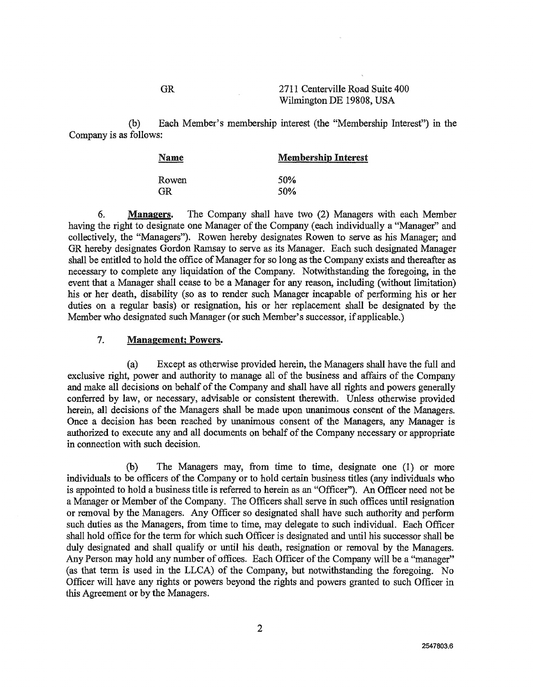### GR 2711 Centerville Road Suite 400 Wilmington DE 19808, USA

(b) Each Member's membership interest (the "Membership Interest") in the Company is as follows:

| Name  | <b>Membership Interest</b> |
|-------|----------------------------|
| Rowen | 50 <sub>%</sub>            |
| GR.   | 50 <sub>%</sub>            |

**6. Managers.** The Company shall have two (2) Managers with each Member having the right to designate one Manager of the Company (each individually a "Manager" and collectively, the "Managers"). Rowen hereby designates Rowen to serve as his Manager; and GR hereby designates Gordon Ramsay to serve as its Manager. Each such designated Manager shall be entitled to hold the office of Manager for so long as the Company exists and thereafter as necessary to complete any liquidation of the Company. Notwithstanding the foregoing, in the event that a Manager shall cease to be a Manager for any reason, including (without limitation) his or her death, disability (so as to render such Manager incapable of performing his or her duties on a regular basis) or resignation, his or her replacement shall be designated by the Member who designated such Manager (or such Member's successor, if applicable.)

## **7. Management; Powers.**

(a) Except as otherwise provided herein, the Managers shall have the full and exclusive right, power and authority to manage all of the business and affairs of the Company and make all decisions on behalf of the Company and shall have all rights and powers generally conferred by law, or necessary, advisable or consistent therewith. Unless otherwise provided herein, all decisions of the Managers shall be made upon unanimous consent of the Managers. Once a decision has been reached by unanimous consent of the Managers, any Manager is authorized to execute any and all documents on behalf of the Company necessary or appropriate in connection with such decision.

(b) The Managers may, from time to time, designate one (1) or more individuals to be officers of the Company or to hold certain business titles (any individuals who is appointed to hold a business title is referred to herein as an "Officer"). An Officer need not be a Manager or Member of the Company. The Officers shall serve in such offices until resignation or removal by the Managers. Any Officer so designated shall have such authority and perform such duties as the Managers, from time to time, may delegate to such individual. Each Officer shall hold office for the term for which such Officer is designated and until his successor shall be duly designated and shall qualify or until his death, resignation or removal by the Managers. Any Person may hold any number of offices. Each Officer of the Company will be a "manager" (as that term is used in the LLCA) of the Company, but notwithstanding the foregoing. No Officer will have any rights or powers beyond the rights and powers granted to such Officer in this Agreement or by the Managers.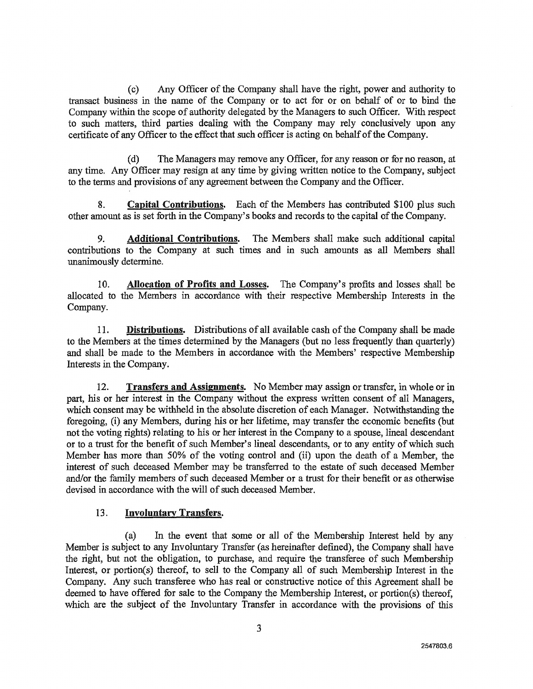(c) Any Officer of the Company shall have the right, power and authority to transact business in the name of the Company or to act for or on behalf of or to bind the Company within the scope of authority delegated by the Managers to such Officer. With respect to such matters, third parties dealing with the Company may rely conclusively upon any certificate of any Officer to the effect that such officer is acting on behalf of the Company.

(d) The Managers may remove any Officer, for any reason or for no reason, at any time. Any Officer may resign at any time by giving written notice to the Company, subject to the terms and provisions of any agreement between the Company and the Officer.

**8. Capital Contributions.** Each of the Members has contributed \$100 plus such other amount as is set forth in the Company's books and records to the capital of the Company.

**9. Additional Contributions.** The Members shall make such additional capital contributions to the Company at such times and in such amounts as all Members shall unanimously determine.

**10. Allocation of Profits and Losses.** The Company's profits and losses shall be allocated to the Members in accordance with their respective Membership Interests in the Company.

**11. Distributions.** Distributions of all available cash of the Company shall be made to the Members at the times determined by the Managers (but no less frequently than quarterly) and shall be made to the Members in accordance with the Members' respective Membership Interests in the Company.

12. **Transfers and Assignments.** No Member may assign or transfer, in whole or in part, his or her interest in the Company without the express written consent of all Managers, which consent may be withheld in the absolute discretion of each Manager. Notwithstanding the foregoing, (i) any Members, during his or her lifetime, may transfer the economic benefits (but not the voting rights) relating to his or her interest in the Company to a spouse, lineal descendant or to a trust for the benefit of such Member's lineal descendants, or to any entity of which such Member has more than 50% of the voting control and (ii) upon the death of a Member, the interest of such deceased Member may be transferred to the estate of such deceased Member and/or the family members of such deceased Member or a trust for their benefit or as otherwise devised in accordance with the will of such deceased Member.

## **13. Involuntary Transfers.**

(a) In the event that some or all of the Membership Interest held by any Member is subject to any Involuntary Transfer (as hereinafter defined), the Company shall have the right, but not the obligation, to purchase, and require the transferee of such Membership Interest, or portion(s) thereof, to sell to the Company all of such Membership Interest in the Company. Any such transferee who has real or constructive notice of this Agreement shall be deemed to have offered for sale to the Company the Membership Interest, or portion(s) thereof, which are the subject of the Involuntary Transfer in accordance with the provisions of this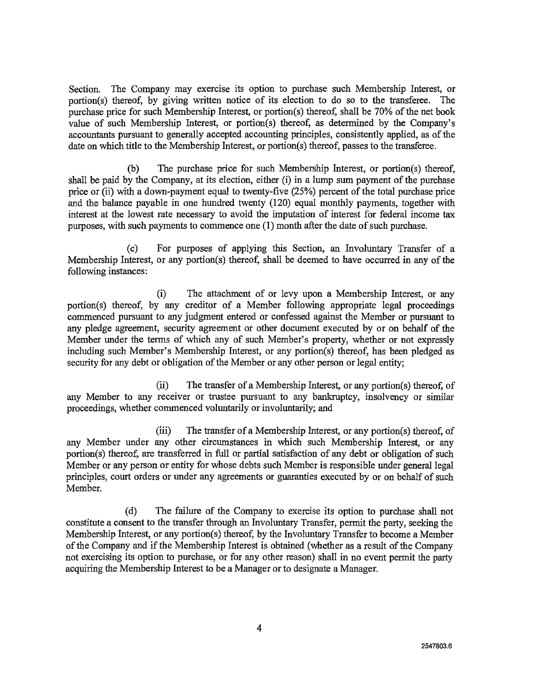Section. The Company may exercise its option to purchase such Membership Interest, or portion(s) thereof, by giving written notice of its election to do so to the transferee. The purchase price for such Membership Interest, or portion(s) thereof, shall be 70% of the net book value of such Membership Interest, or portion(s) thereof, as determined by the Company's accountants pursuant to generally accepted accounting principles, consistently applied, as of the date on which title to the Membership Interest, or portion(s) thereof, passes to the transferee.

(b) The purchase price for such Membership Interest, or portion(s) thereof, shall be paid by the Company, at its election, either (i) in a lump sum payment of the purchase price or (ii) with a down-payment equal to twenty-five (25%) percent of the total purchase price and the balance payable in one hundred twenty (120) equal monthly payments, together with interest at the lowest rate necessary to avoid the imputation of interest for federal income tax purposes, with such payments to commence one (1) month after the date of such purchase.

(c) For purposes of applying this Section, an Involuntary Transfer of a Membership Interest, or any portion(s) thereof, shall be deemed to have occurred in any of the following instances:

(i) The attachment of or levy upon a Membership Interest, or any portion(s) thereof, by any creditor of a Member following appropriate legal proceedings commenced pursuant to any judgment entered or confessed against the Member or pursuant to any pledge agreement, security agreement or other document executed by or on behalf of the Member under the terms of which any of such Member's property, whether or not expressly including such Member's Membership Interest, or any portion(s) thereof, has been pledged as security for any debt or obligation of the Member or any other person or legal entity;

(ii) The transfer of a Membership Interest, or any portion(s) thereof, of any Member to any receiver or trustee pursuant to any bankruptcy, insolvency or similar proceedings, whether commenced voluntarily or involuntarily; and

(iii) The transfer of a Membership Interest, or any portion(s) thereof, of any Member under any other circumstances in which such Membership Interest, or any portion(s) thereof, are transferred in full or partial satisfaction of any debt or obligation of such Member or any person or entity for whose debts such Member is responsible under general legal principles, court orders or under any agreements or guaranties executed by or on behalf of such Member.

(d) The failure of the Company to exercise its option to purchase shall not constitute a consent to the transfer through an Involuntary Transfer, permit the party, seeking the Membership Interest, or any portion(s) thereof, by the Involuntary Transfer to become a Member of the Company and if the Membership Interest is obtained (whether as a result of the Company not exercising its option to purchase, or for any other reason) shall in no event permit the party acquiring the Membership Interest to be a Manager or to designate a Manager.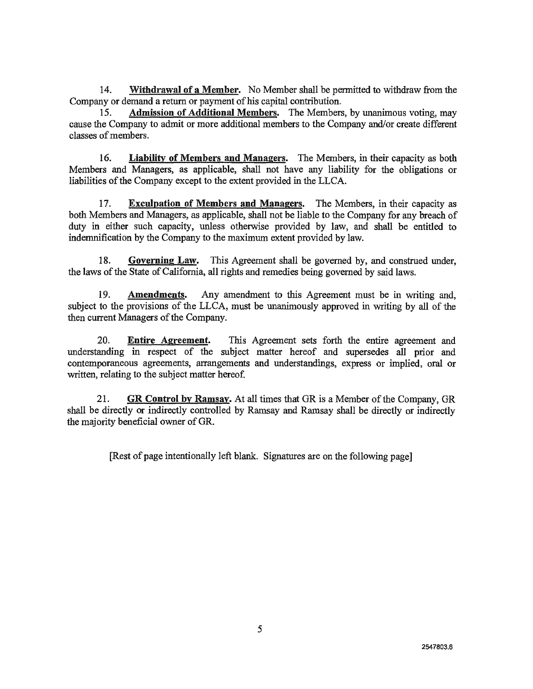**14. Withdrawal of a Member.** No Member shall be permitted to withdraw from the Company or demand a return or payment of his capital contribution.

**15. Admission of Additional Members.** The Members, by unanimous voting, may cause the Company to admit or more additional members to the Company and/or create different classes of members.

**16. Liability of Members and Managers.** The Members, in their capacity as both Members and Managers, as applicable, shall not have any liability for the obligations or liabilities of the Company except to the extent provided in the LLCA.

**17. Exculpation of Members and Managers.** The Members, in their capacity as both Members and Managers, as applicable, shall not be liable to the Company for any breach of duty in either such capacity, unless otherwise provided by law, and shall be entitled to indemnification by the Company to the maximum extent provided by law.

**18. Governing Law.** This Agreement shall be governed by, and construed under, the laws of the State of California, all rights and remedies being governed by said laws.

**19. Amendments.** Any amendment to this Agreement must be in writing and, subject to the provisions of the LLCA, must be unanimously approved in writing by all of the then current Managers of the Company.

**20. Entire Agreement.** This Agreement sets forth the entire agreement and understanding in respect of the subject matter hereof and supersedes all prior and contemporaneous agreements, arrangements and understandings, express or implied, oral or written, relating to the subject matter hereof.

**21. GR Control by Ramsay.** At all times that GR is a Member of the Company, OR shall be directly or indirectly controlled by Ramsay and Ramsay shall be directly or indirectly the majority beneficial owner of GR.

[Rest of page intentionally left blank. Signatures are on the following page]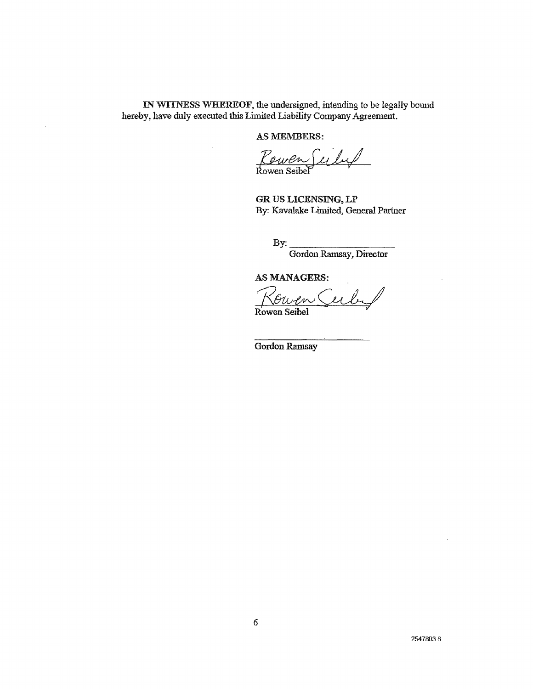IN WITNESS WFIEREOF, the undersigned, intending to be legally bound hereby, have duly executed this Limited Liability Company Agreement.

AS MEMBERS:

Rowen Seiled Rowen Seibel

GR US LICENSING, LP By: Kavalake Limited, General Partner

By:

Gordon Ramsay, Director

AS MANAGERS:

ubi Rowen Seibel

Gordon Ramsay